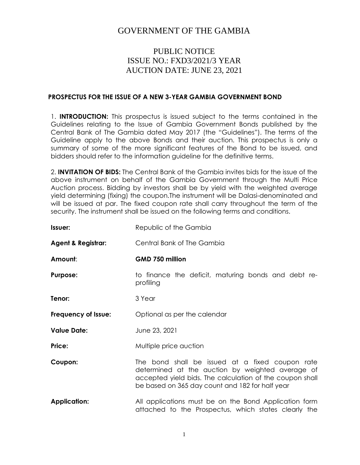# GOVERNMENT OF THE GAMBIA

## PUBLIC NOTICE ISSUE NO.: FXD3/2021/3 YEAR AUCTION DATE: JUNE 23, 2021

#### **PROSPECTUS FOR THE ISSUE OF A NEW 3-YEAR GAMBIA GOVERNMENT BOND**

1. **INTRODUCTION:** This prospectus is issued subject to the terms contained in the Guidelines relating to the Issue of Gambia Government Bonds published by the Central Bank of The Gambia dated May 2017 (the "Guidelines"). The terms of the Guideline apply to the above Bonds and their auction. This prospectus is only a summary of some of the more significant features of the Bond to be issued, and bidders should refer to the information guideline for the definitive terms.

2. **INVITATION OF BIDS:** The Central Bank of the Gambia invites bids for the issue of the above instrument on behalf of the Gambia Government through the Multi Price Auction process. Bidding by investors shall be by yield with the weighted average yield determining (fixing) the coupon.The instrument will be Dalasi-denominated and will be issued at par. The fixed coupon rate shall carry throughout the term of the security. The instrument shall be issued on the following terms and conditions.

| Issuer:                       | Republic of the Gambia                                                                                                                                                                                             |  |
|-------------------------------|--------------------------------------------------------------------------------------------------------------------------------------------------------------------------------------------------------------------|--|
| <b>Agent &amp; Registrar:</b> | Central Bank of The Gambia                                                                                                                                                                                         |  |
| Amount:                       | GMD 750 million                                                                                                                                                                                                    |  |
| <b>Purpose:</b>               | to finance the deficit, maturing bonds and debt re-<br>profiling                                                                                                                                                   |  |
| Tenor:                        | 3 Year                                                                                                                                                                                                             |  |
| Frequency of Issue:           | Optional as per the calendar                                                                                                                                                                                       |  |
| <b>Value Date:</b>            | June 23, 2021                                                                                                                                                                                                      |  |
| Price:                        | Multiple price auction                                                                                                                                                                                             |  |
| Coupon:                       | The bond shall be issued at a fixed coupon rate<br>determined at the auction by weighted average of<br>accepted yield bids. The calculation of the coupon shall<br>be based on 365 day count and 182 for half year |  |
| <b>Application:</b>           | All applications must be on the Bond Application form<br>attached to the Prospectus, which states clearly the                                                                                                      |  |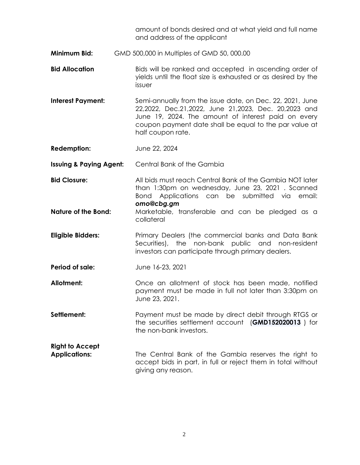amount of bonds desired and at what yield and full name and address of the applicant

- **Minimum Bid:** GMD 500,000 in Multiples of GMD 50, 000.00
- **Bid Allocation Bids** will be ranked and accepted in ascending order of yields until the float size is exhausted or as desired by the issuer
- **Interest Payment:** Semi-annually from the issue date, on Dec. 22, 2021, June 22,2022, Dec.21,2022, June 21,2023, Dec. 20,2023 and June 19, 2024. The amount of interest paid on every coupon payment date shall be equal to the par value at half coupon rate.
- **Redemption:** June 22, 2024
- **Issuing & Paying Agent:** Central Bank of the Gambia
- **Bid Closure:** All bids must reach Central Bank of the Gambia NOT later than 1:30pm on wednesday, June 23, 2021 . Scanned Bond Applications can be submitted via email: *omo@cbg.gm*
- **Nature of the Bond:** Marketable, transferable and can be pledged as a collateral
- **Eligible Bidders:** Primary Dealers (the commercial banks and Data Bank Securities), the non-bank public and non-resident investors can participate through primary dealers.
- **Period of sale:** June 16-23, 2021
- **Allotment:** Once an allotment of stock has been made, notified payment must be made in full not later than 3:30pm on June 23, 2021.
- **Settlement:** Payment must be made by direct debit through RTGS or the securities settlement account (**GMD152020013** ) for the non-bank investors.
- **Right to Accept Applications:** The Central Bank of the Gambia reserves the right to accept bids in part, in full or reject them in total without giving any reason.